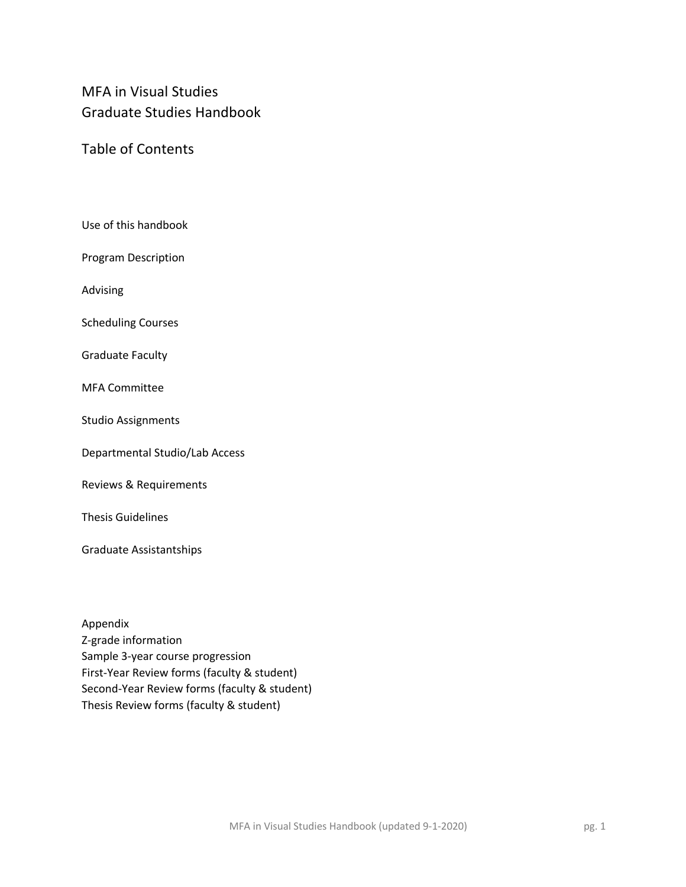# MFA in Visual Studies Graduate Studies Handbook

Table of Contents

Use of this handbook

Program Description

Advising

Scheduling Courses

Graduate Faculty

MFA Committee

Studio Assignments

Departmental Studio/Lab Access

Reviews & Requirements

Thesis Guidelines

Graduate Assistantships

Appendix Z-grade information Sample 3-year course progression First-Year Review forms (faculty & student) Second-Year Review forms (faculty & student) Thesis Review forms (faculty & student)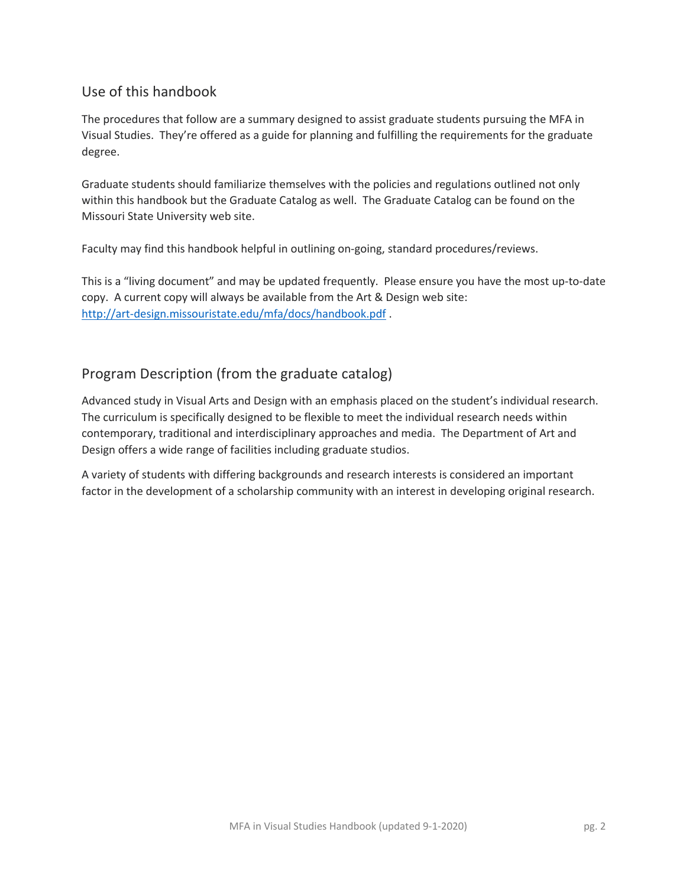### Use of this handbook

The procedures that follow are a summary designed to assist graduate students pursuing the MFA in Visual Studies. They're offered as a guide for planning and fulfilling the requirements for the graduate degree.

Graduate students should familiarize themselves with the policies and regulations outlined not only within this handbook but the Graduate Catalog as well. The Graduate Catalog can be found on the Missouri State University web site.

Faculty may find this handbook helpful in outlining on-going, standard procedures/reviews.

This is a "living document" and may be updated frequently. Please ensure you have the most up-to-date copy. A current copy will always be available from the Art & Design web site: http://art-design.missouristate.edu/mfa/docs/handbook.pdf .

## Program Description (from the graduate catalog)

Advanced study in Visual Arts and Design with an emphasis placed on the student's individual research. The curriculum is specifically designed to be flexible to meet the individual research needs within contemporary, traditional and interdisciplinary approaches and media. The Department of Art and Design offers a wide range of facilities including graduate studios.

A variety of students with differing backgrounds and research interests is considered an important factor in the development of a scholarship community with an interest in developing original research.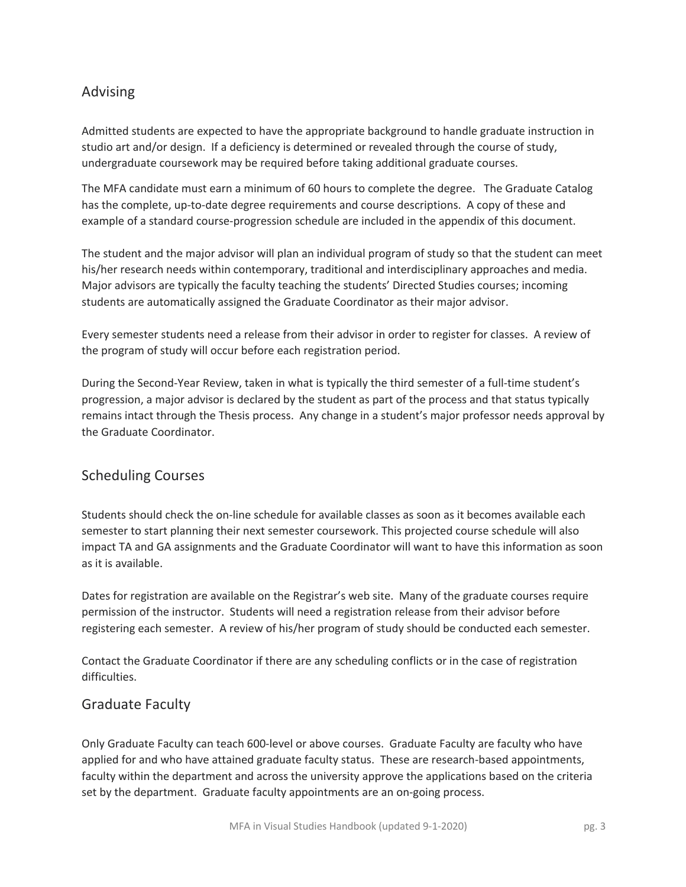## Advising

Admitted students are expected to have the appropriate background to handle graduate instruction in studio art and/or design. If a deficiency is determined or revealed through the course of study, undergraduate coursework may be required before taking additional graduate courses.

The MFA candidate must earn a minimum of 60 hours to complete the degree. The Graduate Catalog has the complete, up-to-date degree requirements and course descriptions. A copy of these and example of a standard course-progression schedule are included in the appendix of this document.

The student and the major advisor will plan an individual program of study so that the student can meet his/her research needs within contemporary, traditional and interdisciplinary approaches and media. Major advisors are typically the faculty teaching the students' Directed Studies courses; incoming students are automatically assigned the Graduate Coordinator as their major advisor.

Every semester students need a release from their advisor in order to register for classes. A review of the program of study will occur before each registration period.

During the Second-Year Review, taken in what is typically the third semester of a full-time student's progression, a major advisor is declared by the student as part of the process and that status typically remains intact through the Thesis process. Any change in a student's major professor needs approval by the Graduate Coordinator.

## Scheduling Courses

Students should check the on-line schedule for available classes as soon as it becomes available each semester to start planning their next semester coursework. This projected course schedule will also impact TA and GA assignments and the Graduate Coordinator will want to have this information as soon as it is available.

Dates for registration are available on the Registrar's web site. Many of the graduate courses require permission of the instructor. Students will need a registration release from their advisor before registering each semester. A review of his/her program of study should be conducted each semester.

Contact the Graduate Coordinator if there are any scheduling conflicts or in the case of registration difficulties.

### Graduate Faculty

Only Graduate Faculty can teach 600-level or above courses. Graduate Faculty are faculty who have applied for and who have attained graduate faculty status. These are research-based appointments, faculty within the department and across the university approve the applications based on the criteria set by the department. Graduate faculty appointments are an on-going process.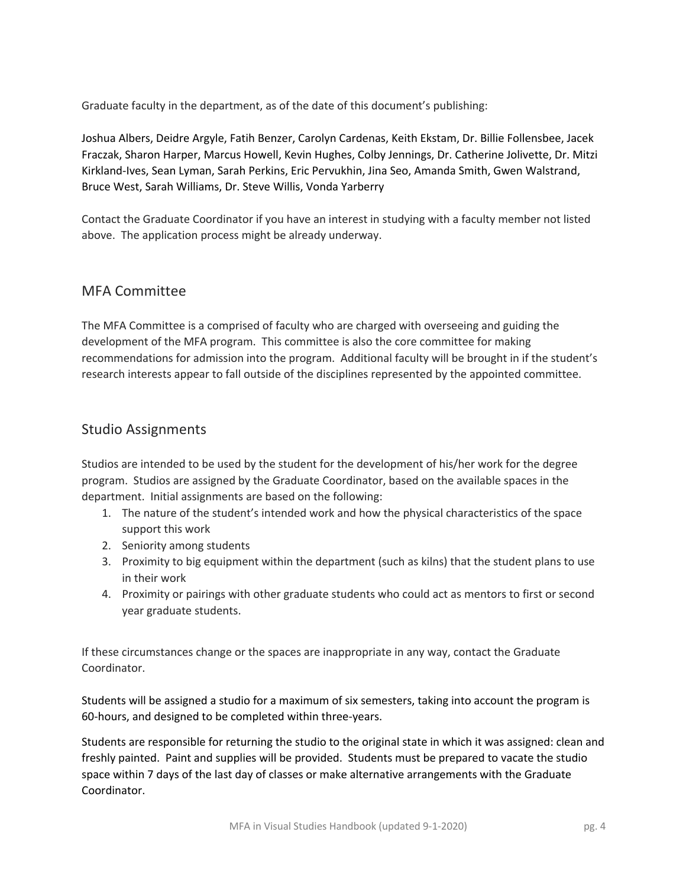Graduate faculty in the department, as of the date of this document's publishing:

Joshua Albers, Deidre Argyle, Fatih Benzer, Carolyn Cardenas, Keith Ekstam, Dr. Billie Follensbee, Jacek Fraczak, Sharon Harper, Marcus Howell, Kevin Hughes, Colby Jennings, Dr. Catherine Jolivette, Dr. Mitzi Kirkland-Ives, Sean Lyman, Sarah Perkins, Eric Pervukhin, Jina Seo, Amanda Smith, Gwen Walstrand, Bruce West, Sarah Williams, Dr. Steve Willis, Vonda Yarberry

Contact the Graduate Coordinator if you have an interest in studying with a faculty member not listed above. The application process might be already underway.

### MFA Committee

The MFA Committee is a comprised of faculty who are charged with overseeing and guiding the development of the MFA program. This committee is also the core committee for making recommendations for admission into the program. Additional faculty will be brought in if the student's research interests appear to fall outside of the disciplines represented by the appointed committee.

### Studio Assignments

Studios are intended to be used by the student for the development of his/her work for the degree program. Studios are assigned by the Graduate Coordinator, based on the available spaces in the department. Initial assignments are based on the following:

- 1. The nature of the student's intended work and how the physical characteristics of the space support this work
- 2. Seniority among students
- 3. Proximity to big equipment within the department (such as kilns) that the student plans to use in their work
- 4. Proximity or pairings with other graduate students who could act as mentors to first or second year graduate students.

If these circumstances change or the spaces are inappropriate in any way, contact the Graduate Coordinator.

Students will be assigned a studio for a maximum of six semesters, taking into account the program is 60-hours, and designed to be completed within three-years.

Students are responsible for returning the studio to the original state in which it was assigned: clean and freshly painted. Paint and supplies will be provided. Students must be prepared to vacate the studio space within 7 days of the last day of classes or make alternative arrangements with the Graduate Coordinator.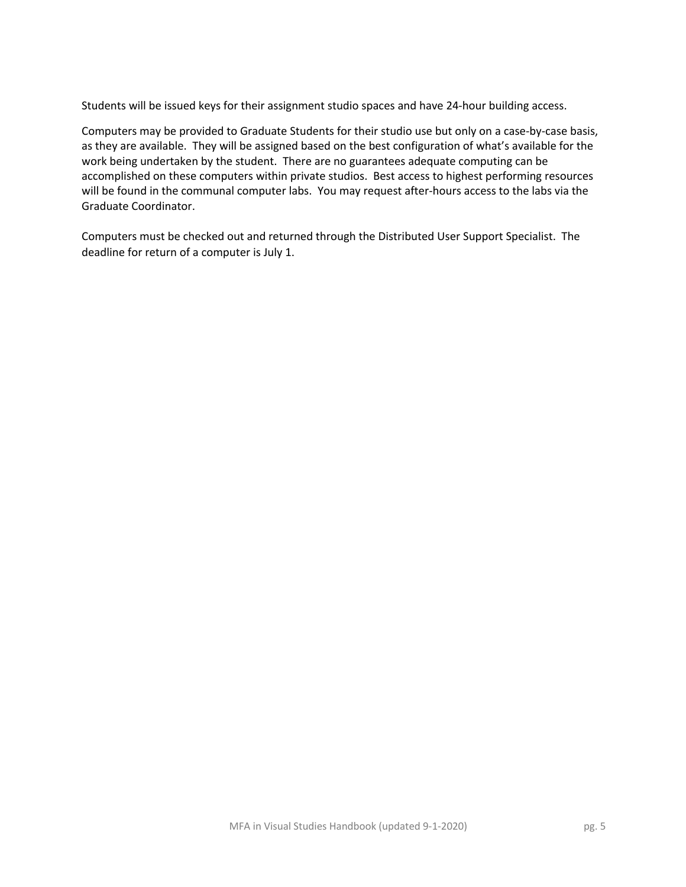Students will be issued keys for their assignment studio spaces and have 24-hour building access.

Computers may be provided to Graduate Students for their studio use but only on a case-by-case basis, as they are available. They will be assigned based on the best configuration of what's available for the work being undertaken by the student. There are no guarantees adequate computing can be accomplished on these computers within private studios. Best access to highest performing resources will be found in the communal computer labs. You may request after-hours access to the labs via the Graduate Coordinator.

Computers must be checked out and returned through the Distributed User Support Specialist. The deadline for return of a computer is July 1.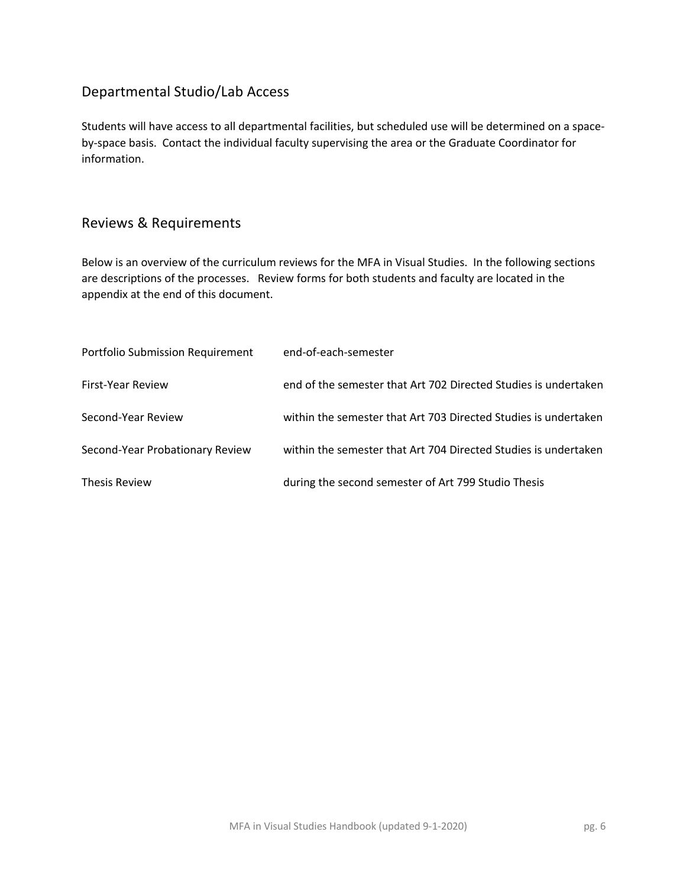## Departmental Studio/Lab Access

Students will have access to all departmental facilities, but scheduled use will be determined on a spaceby-space basis. Contact the individual faculty supervising the area or the Graduate Coordinator for information.

## Reviews & Requirements

Below is an overview of the curriculum reviews for the MFA in Visual Studies. In the following sections are descriptions of the processes. Review forms for both students and faculty are located in the appendix at the end of this document.

| Portfolio Submission Requirement | end-of-each-semester                                            |
|----------------------------------|-----------------------------------------------------------------|
| First-Year Review                | end of the semester that Art 702 Directed Studies is undertaken |
| Second-Year Review               | within the semester that Art 703 Directed Studies is undertaken |
| Second-Year Probationary Review  | within the semester that Art 704 Directed Studies is undertaken |
| <b>Thesis Review</b>             | during the second semester of Art 799 Studio Thesis             |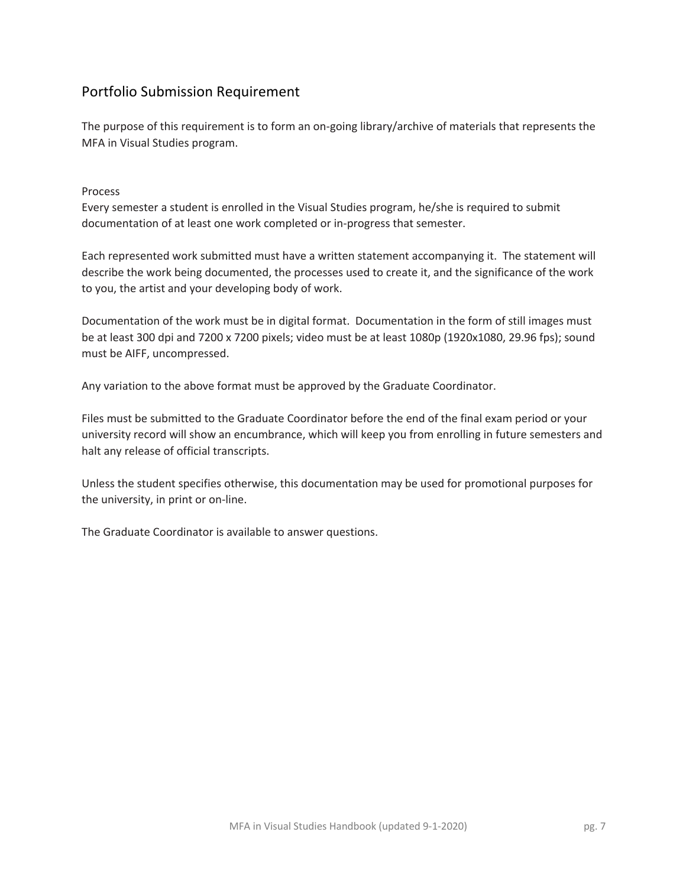## Portfolio Submission Requirement

The purpose of this requirement is to form an on-going library/archive of materials that represents the MFA in Visual Studies program.

Process

Every semester a student is enrolled in the Visual Studies program, he/she is required to submit documentation of at least one work completed or in-progress that semester.

Each represented work submitted must have a written statement accompanying it. The statement will describe the work being documented, the processes used to create it, and the significance of the work to you, the artist and your developing body of work.

Documentation of the work must be in digital format. Documentation in the form of still images must be at least 300 dpi and 7200 x 7200 pixels; video must be at least 1080p (1920x1080, 29.96 fps); sound must be AIFF, uncompressed.

Any variation to the above format must be approved by the Graduate Coordinator.

Files must be submitted to the Graduate Coordinator before the end of the final exam period or your university record will show an encumbrance, which will keep you from enrolling in future semesters and halt any release of official transcripts.

Unless the student specifies otherwise, this documentation may be used for promotional purposes for the university, in print or on-line.

The Graduate Coordinator is available to answer questions.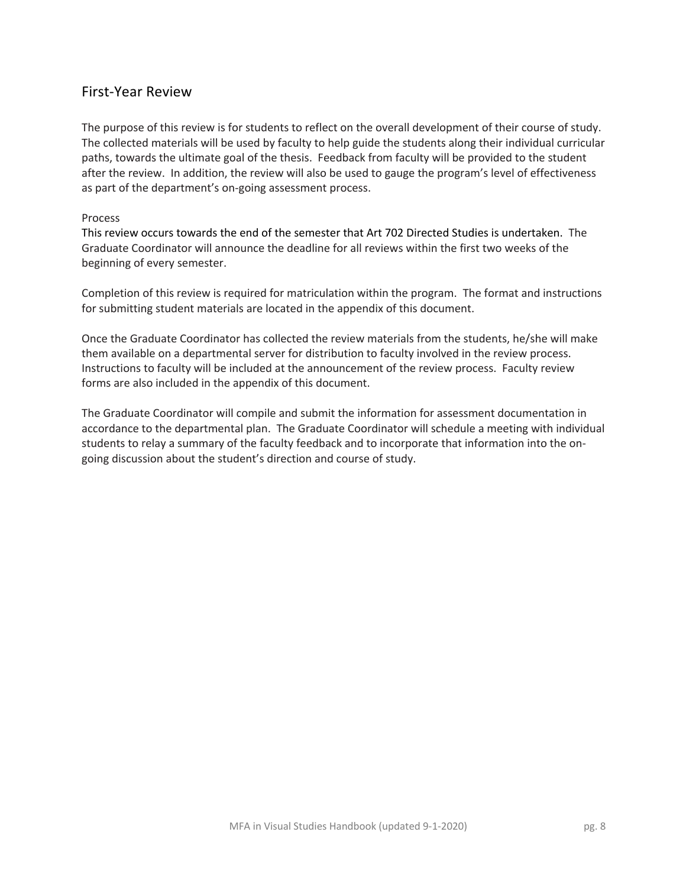### First-Year Review

The purpose of this review is for students to reflect on the overall development of their course of study. The collected materials will be used by faculty to help guide the students along their individual curricular paths, towards the ultimate goal of the thesis. Feedback from faculty will be provided to the student after the review. In addition, the review will also be used to gauge the program's level of effectiveness as part of the department's on-going assessment process.

#### Process

This review occurs towards the end of the semester that Art 702 Directed Studies is undertaken. The Graduate Coordinator will announce the deadline for all reviews within the first two weeks of the beginning of every semester.

Completion of this review is required for matriculation within the program. The format and instructions for submitting student materials are located in the appendix of this document.

Once the Graduate Coordinator has collected the review materials from the students, he/she will make them available on a departmental server for distribution to faculty involved in the review process. Instructions to faculty will be included at the announcement of the review process. Faculty review forms are also included in the appendix of this document.

The Graduate Coordinator will compile and submit the information for assessment documentation in accordance to the departmental plan. The Graduate Coordinator will schedule a meeting with individual students to relay a summary of the faculty feedback and to incorporate that information into the ongoing discussion about the student's direction and course of study.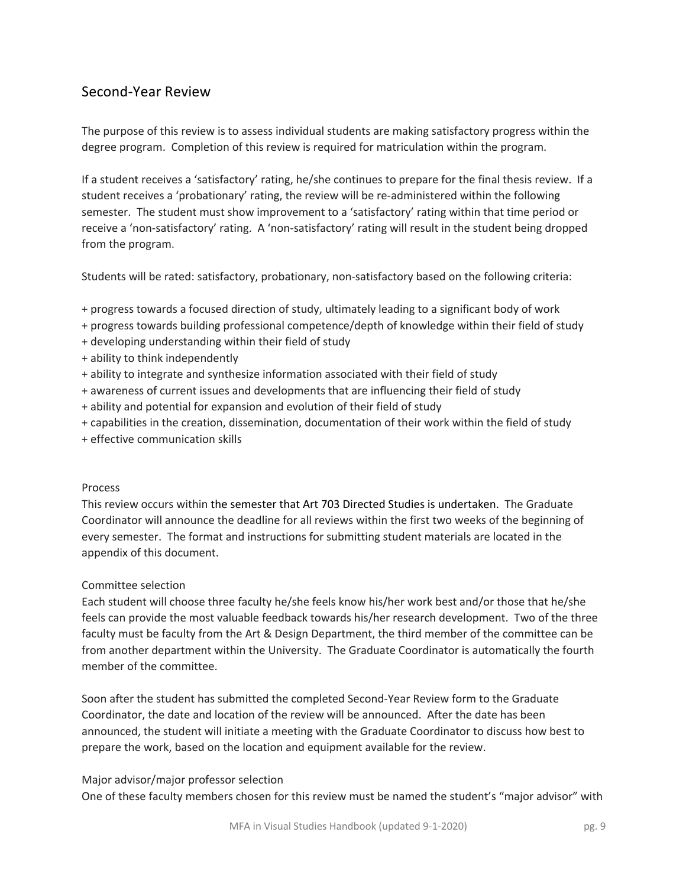### Second-Year Review

The purpose of this review is to assess individual students are making satisfactory progress within the degree program. Completion of this review is required for matriculation within the program.

If a student receives a 'satisfactory' rating, he/she continues to prepare for the final thesis review. If a student receives a 'probationary' rating, the review will be re-administered within the following semester. The student must show improvement to a 'satisfactory' rating within that time period or receive a 'non-satisfactory' rating. A 'non-satisfactory' rating will result in the student being dropped from the program.

Students will be rated: satisfactory, probationary, non-satisfactory based on the following criteria:

- + progress towards a focused direction of study, ultimately leading to a significant body of work
- + progress towards building professional competence/depth of knowledge within their field of study
- + developing understanding within their field of study
- + ability to think independently
- + ability to integrate and synthesize information associated with their field of study
- + awareness of current issues and developments that are influencing their field of study
- + ability and potential for expansion and evolution of their field of study
- + capabilities in the creation, dissemination, documentation of their work within the field of study
- + effective communication skills

#### Process

This review occurs within the semester that Art 703 Directed Studies is undertaken. The Graduate Coordinator will announce the deadline for all reviews within the first two weeks of the beginning of every semester. The format and instructions for submitting student materials are located in the appendix of this document.

#### Committee selection

Each student will choose three faculty he/she feels know his/her work best and/or those that he/she feels can provide the most valuable feedback towards his/her research development. Two of the three faculty must be faculty from the Art & Design Department, the third member of the committee can be from another department within the University. The Graduate Coordinator is automatically the fourth member of the committee.

Soon after the student has submitted the completed Second-Year Review form to the Graduate Coordinator, the date and location of the review will be announced. After the date has been announced, the student will initiate a meeting with the Graduate Coordinator to discuss how best to prepare the work, based on the location and equipment available for the review.

#### Major advisor/major professor selection

One of these faculty members chosen for this review must be named the student's "major advisor" with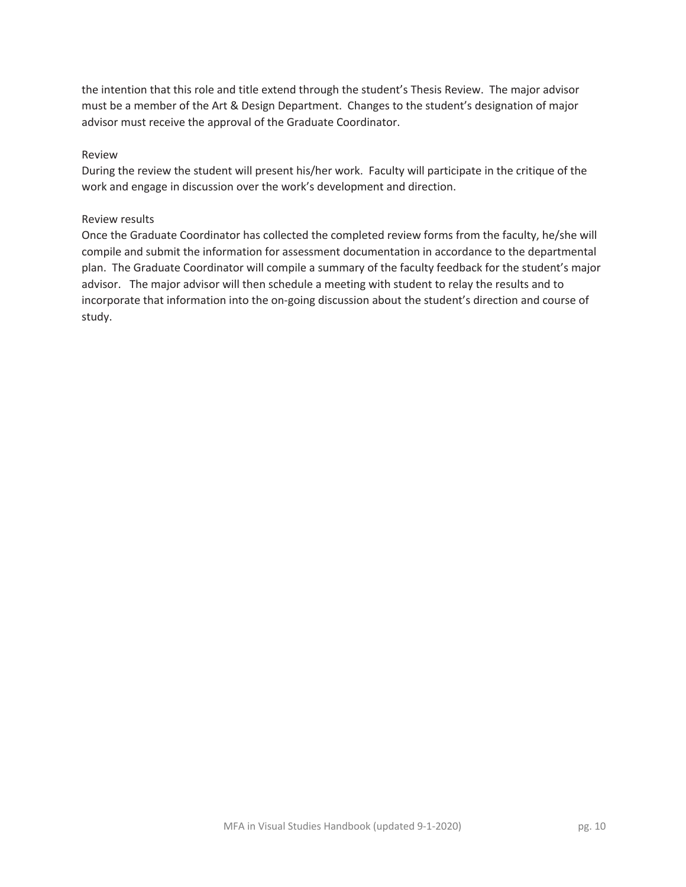the intention that this role and title extend through the student's Thesis Review. The major advisor must be a member of the Art & Design Department. Changes to the student's designation of major advisor must receive the approval of the Graduate Coordinator.

#### Review

During the review the student will present his/her work. Faculty will participate in the critique of the work and engage in discussion over the work's development and direction.

#### Review results

Once the Graduate Coordinator has collected the completed review forms from the faculty, he/she will compile and submit the information for assessment documentation in accordance to the departmental plan. The Graduate Coordinator will compile a summary of the faculty feedback for the student's major advisor. The major advisor will then schedule a meeting with student to relay the results and to incorporate that information into the on-going discussion about the student's direction and course of study.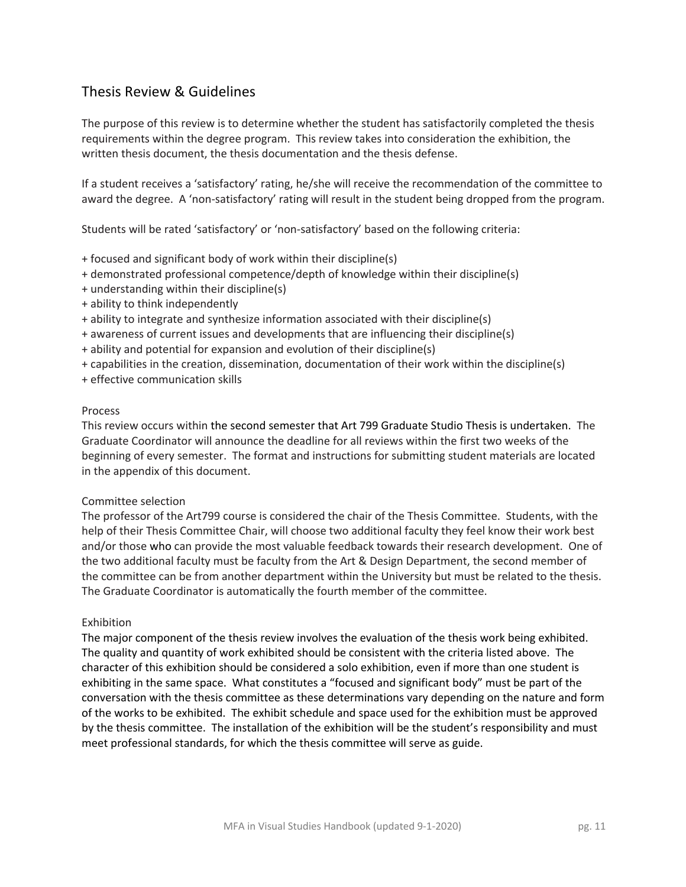### Thesis Review & Guidelines

The purpose of this review is to determine whether the student has satisfactorily completed the thesis requirements within the degree program. This review takes into consideration the exhibition, the written thesis document, the thesis documentation and the thesis defense.

If a student receives a 'satisfactory' rating, he/she will receive the recommendation of the committee to award the degree. A 'non-satisfactory' rating will result in the student being dropped from the program.

Students will be rated 'satisfactory' or 'non-satisfactory' based on the following criteria:

- + focused and significant body of work within their discipline(s)
- + demonstrated professional competence/depth of knowledge within their discipline(s)
- + understanding within their discipline(s)
- + ability to think independently
- + ability to integrate and synthesize information associated with their discipline(s)
- + awareness of current issues and developments that are influencing their discipline(s)
- + ability and potential for expansion and evolution of their discipline(s)
- + capabilities in the creation, dissemination, documentation of their work within the discipline(s)
- + effective communication skills

#### Process

This review occurs within the second semester that Art 799 Graduate Studio Thesis is undertaken. The Graduate Coordinator will announce the deadline for all reviews within the first two weeks of the beginning of every semester. The format and instructions for submitting student materials are located in the appendix of this document.

#### Committee selection

The professor of the Art799 course is considered the chair of the Thesis Committee. Students, with the help of their Thesis Committee Chair, will choose two additional faculty they feel know their work best and/or those who can provide the most valuable feedback towards their research development. One of the two additional faculty must be faculty from the Art & Design Department, the second member of the committee can be from another department within the University but must be related to the thesis. The Graduate Coordinator is automatically the fourth member of the committee.

#### Exhibition

The major component of the thesis review involves the evaluation of the thesis work being exhibited. The quality and quantity of work exhibited should be consistent with the criteria listed above. The character of this exhibition should be considered a solo exhibition, even if more than one student is exhibiting in the same space. What constitutes a "focused and significant body" must be part of the conversation with the thesis committee as these determinations vary depending on the nature and form of the works to be exhibited. The exhibit schedule and space used for the exhibition must be approved by the thesis committee. The installation of the exhibition will be the student's responsibility and must meet professional standards, for which the thesis committee will serve as guide.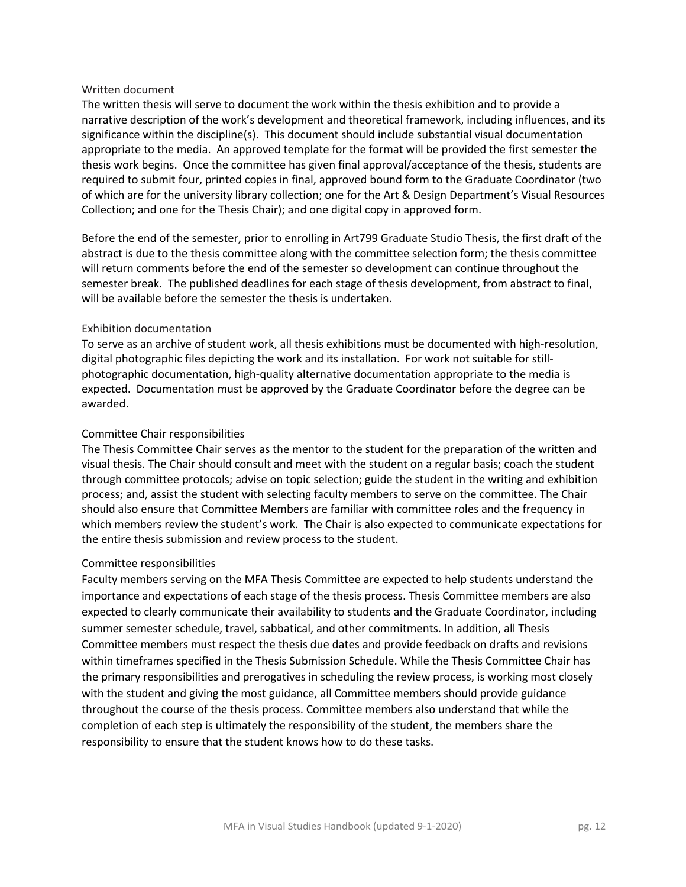#### Written document

The written thesis will serve to document the work within the thesis exhibition and to provide a narrative description of the work's development and theoretical framework, including influences, and its significance within the discipline(s). This document should include substantial visual documentation appropriate to the media. An approved template for the format will be provided the first semester the thesis work begins. Once the committee has given final approval/acceptance of the thesis, students are required to submit four, printed copies in final, approved bound form to the Graduate Coordinator (two of which are for the university library collection; one for the Art & Design Department's Visual Resources Collection; and one for the Thesis Chair); and one digital copy in approved form.

Before the end of the semester, prior to enrolling in Art799 Graduate Studio Thesis, the first draft of the abstract is due to the thesis committee along with the committee selection form; the thesis committee will return comments before the end of the semester so development can continue throughout the semester break. The published deadlines for each stage of thesis development, from abstract to final, will be available before the semester the thesis is undertaken.

#### Exhibition documentation

To serve as an archive of student work, all thesis exhibitions must be documented with high-resolution, digital photographic files depicting the work and its installation. For work not suitable for stillphotographic documentation, high-quality alternative documentation appropriate to the media is expected. Documentation must be approved by the Graduate Coordinator before the degree can be awarded.

#### Committee Chair responsibilities

The Thesis Committee Chair serves as the mentor to the student for the preparation of the written and visual thesis. The Chair should consult and meet with the student on a regular basis; coach the student through committee protocols; advise on topic selection; guide the student in the writing and exhibition process; and, assist the student with selecting faculty members to serve on the committee. The Chair should also ensure that Committee Members are familiar with committee roles and the frequency in which members review the student's work. The Chair is also expected to communicate expectations for the entire thesis submission and review process to the student.

#### Committee responsibilities

Faculty members serving on the MFA Thesis Committee are expected to help students understand the importance and expectations of each stage of the thesis process. Thesis Committee members are also expected to clearly communicate their availability to students and the Graduate Coordinator, including summer semester schedule, travel, sabbatical, and other commitments. In addition, all Thesis Committee members must respect the thesis due dates and provide feedback on drafts and revisions within timeframes specified in the Thesis Submission Schedule. While the Thesis Committee Chair has the primary responsibilities and prerogatives in scheduling the review process, is working most closely with the student and giving the most guidance, all Committee members should provide guidance throughout the course of the thesis process. Committee members also understand that while the completion of each step is ultimately the responsibility of the student, the members share the responsibility to ensure that the student knows how to do these tasks.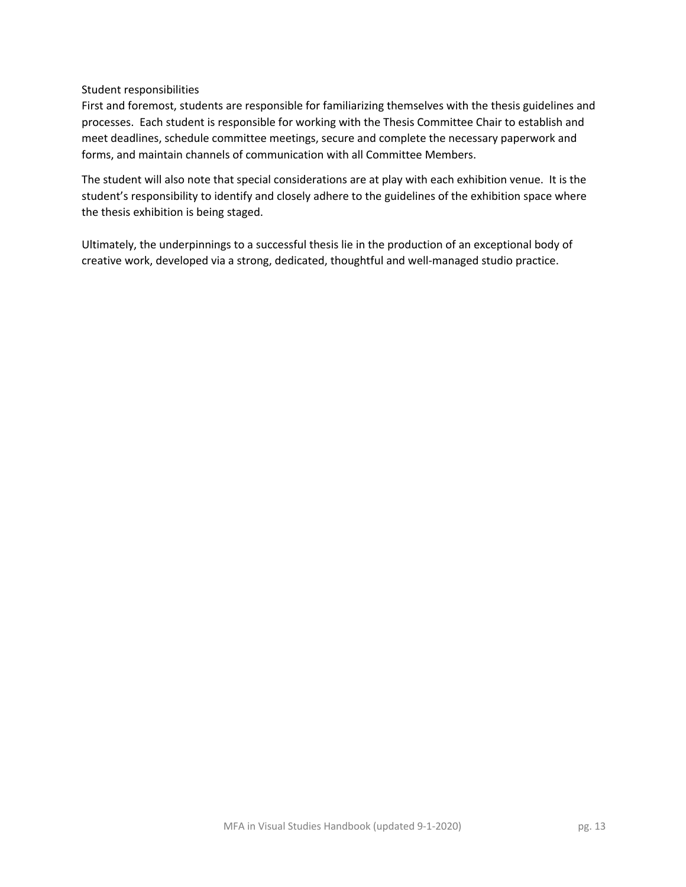#### Student responsibilities

First and foremost, students are responsible for familiarizing themselves with the thesis guidelines and processes. Each student is responsible for working with the Thesis Committee Chair to establish and meet deadlines, schedule committee meetings, secure and complete the necessary paperwork and forms, and maintain channels of communication with all Committee Members.

The student will also note that special considerations are at play with each exhibition venue. It is the student's responsibility to identify and closely adhere to the guidelines of the exhibition space where the thesis exhibition is being staged.

Ultimately, the underpinnings to a successful thesis lie in the production of an exceptional body of creative work, developed via a strong, dedicated, thoughtful and well-managed studio practice.